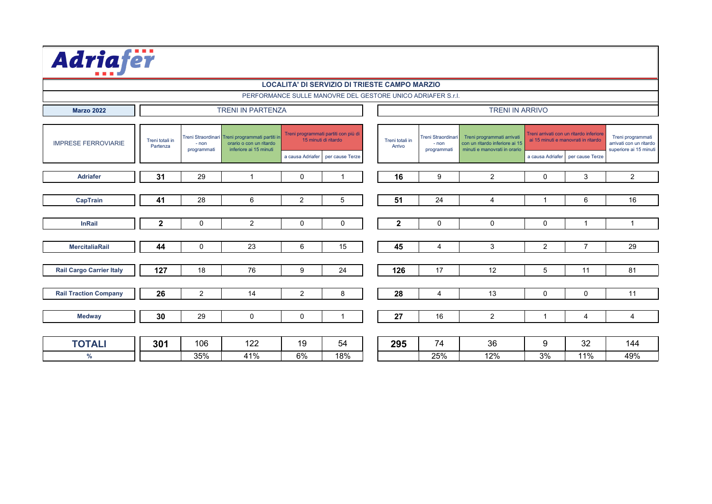| Adriafër                        |                             |                        |                                                                                                      |                  |                                                              |                           |                                                  |                                                                                              |                      |                                                                                |                                                                        |
|---------------------------------|-----------------------------|------------------------|------------------------------------------------------------------------------------------------------|------------------|--------------------------------------------------------------|---------------------------|--------------------------------------------------|----------------------------------------------------------------------------------------------|----------------------|--------------------------------------------------------------------------------|------------------------------------------------------------------------|
|                                 |                             |                        |                                                                                                      |                  | <b>LOCALITA' DI SERVIZIO DI TRIESTE CAMPO MARZIO</b>         |                           |                                                  |                                                                                              |                      |                                                                                |                                                                        |
|                                 |                             |                        |                                                                                                      |                  | PERFORMANCE SULLE MANOVRE DEL GESTORE UNICO ADRIAFER S.r.I.  |                           |                                                  |                                                                                              |                      |                                                                                |                                                                        |
| <b>Marzo 2022</b>               |                             |                        | <b>TRENI IN PARTENZA</b>                                                                             |                  |                                                              |                           |                                                  | <b>TRENI IN ARRIVO</b>                                                                       |                      |                                                                                |                                                                        |
|                                 |                             |                        |                                                                                                      |                  |                                                              |                           |                                                  |                                                                                              |                      |                                                                                |                                                                        |
| <b>IMPRESE FERROVIARIE</b>      | Treni totali in<br>Partenza | $- non$<br>programmati | Treni Straordinari Treni programmati partiti ir<br>orario o con un ritardo<br>inferiore ai 15 minuti |                  | Treni programmati partiti con più di<br>15 minuti di ritardo | Treni totali in<br>Arrivo | <b>Treni Straordinar</b><br>- non<br>programmati | Treni programmati arrivati<br>con un ritardo inferiore ai 15<br>minuti e manovrati in orario |                      | Treni arrivati con un ritardo inferiore<br>ai 15 minuti e manovrati in ritardo | Treni programmati<br>arrivati con un ritardo<br>superiore ai 15 minuti |
|                                 |                             |                        |                                                                                                      | a causa Adriafer | per cause Terze                                              |                           |                                                  |                                                                                              | a causa Adriafer     | per cause Terze                                                                |                                                                        |
| <b>Adriafer</b>                 | 31                          | 29                     | $\overline{1}$                                                                                       | $\mathbf 0$      | -1                                                           | 16                        | 9                                                | 2                                                                                            | $\mathbf 0$          | 3                                                                              | 2                                                                      |
|                                 |                             |                        |                                                                                                      |                  |                                                              |                           |                                                  |                                                                                              |                      |                                                                                |                                                                        |
| <b>CapTrain</b>                 | 41                          | 28                     | 6                                                                                                    | 2                | 5                                                            | 51                        | 24                                               | 4                                                                                            | $\blacktriangleleft$ | 6                                                                              | 16                                                                     |
|                                 |                             |                        |                                                                                                      |                  |                                                              |                           |                                                  |                                                                                              |                      |                                                                                |                                                                        |
| <b>InRail</b>                   | $\mathbf{2}$                | $\mathbf 0$            | 2                                                                                                    | $\mathbf 0$      | 0                                                            | $\mathbf 2$               | $\mathbf 0$                                      | $\mathbf 0$                                                                                  | $\mathbf 0$          | $\mathbf{1}$                                                                   | $\overline{1}$                                                         |
|                                 |                             |                        |                                                                                                      |                  |                                                              |                           |                                                  |                                                                                              |                      |                                                                                |                                                                        |
| <b>MercitaliaRail</b>           | 44                          | $\mathbf 0$            | 23                                                                                                   | 6                | 15                                                           | 45                        | $\overline{4}$                                   | 3                                                                                            | 2                    | $\overline{7}$                                                                 | 29                                                                     |
|                                 |                             |                        |                                                                                                      |                  |                                                              |                           |                                                  |                                                                                              |                      |                                                                                |                                                                        |
| <b>Rail Cargo Carrier Italy</b> | 127                         | 18                     | 76                                                                                                   | 9                | 24                                                           | 126                       | 17                                               | 12                                                                                           | 5                    | 11                                                                             | 81                                                                     |
|                                 |                             |                        |                                                                                                      |                  |                                                              |                           |                                                  |                                                                                              |                      |                                                                                |                                                                        |
| <b>Rail Traction Company</b>    | 26                          | 2                      | 14                                                                                                   | 2                | 8                                                            | 28                        | 4                                                | 13                                                                                           | $\Omega$             | $\Omega$                                                                       | 11                                                                     |
|                                 |                             |                        |                                                                                                      |                  |                                                              |                           |                                                  |                                                                                              |                      |                                                                                |                                                                        |
| <b>Medway</b>                   | 30                          | 29                     | $\mathbf 0$                                                                                          | $\mathbf 0$      | $\mathbf{1}$                                                 | 27                        | 16                                               | 2                                                                                            | $\overline{1}$       | 4                                                                              | $\overline{4}$                                                         |
|                                 |                             |                        |                                                                                                      |                  |                                                              |                           |                                                  |                                                                                              |                      |                                                                                |                                                                        |
| <b>TOTALI</b>                   | 301                         | 106                    | 122                                                                                                  | 19               | 54                                                           | 295                       | 74                                               | 36                                                                                           | 9                    | 32                                                                             | 144                                                                    |
| $\%$                            |                             | 35%                    | 41%                                                                                                  | 6%               | 18%                                                          |                           | 25%                                              | 12%                                                                                          | 3%                   | 11%                                                                            | 49%                                                                    |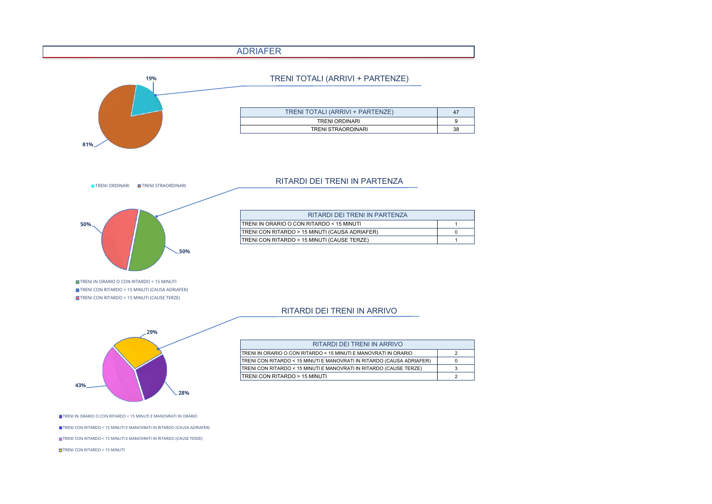## ADRIAFER



#### TRENI ORDINARI TRENI STRAORDINARI



TRENI IN ORARIO O CON RITARDO < 15 MINUTI TRENI CON RITARDO > 15 MINUTI (CAUSA ADRIAFER) TRENI CON RITARDO > 15 MINUTI (CAUSE TERZE)

#### TRENI IN ORARIO O CON RITARDO < 15 MINUTI 1 TRENI CON RITARDO > 15 MINUTI (CAUSA ADRIAFER) 0 TRENI CON RITARDO > 15 MINUTI (CAUSE TERZE) 1 RITARDI DEI TRENI IN PARTENZA

#### RITARDI DEI TRENI IN ARRIVO



| RITARDI DEI TRENI IN ARRIVO                                           |  |
|-----------------------------------------------------------------------|--|
| TRENI IN ORARIO O CON RITARDO < 15 MINUTI E MANOVRATI IN ORARIO       |  |
| TRENI CON RITARDO < 15 MINUTI E MANOVRATI IN RITARDO (CAUSA ADRIAFER) |  |
| TRENI CON RITARDO < 15 MINUTI E MANOVRATI IN RITARDO (CAUSE TERZE)    |  |
| <b>ITRENI CON RITARDO &gt; 15 MINUTI</b>                              |  |

#### TRENI IN ORARIO O CON RITARDO < 15 MINUTI E MANOVRATI IN ORARIO

TRENI CON RITARDO < 15 MINUTI E MANOVRATI IN RITARDO (CAUSA ADRIAFER) TRENI CON RITARDO < 15 MINUTI E MANOVRATI IN RITARDO (CAUSE TERZE)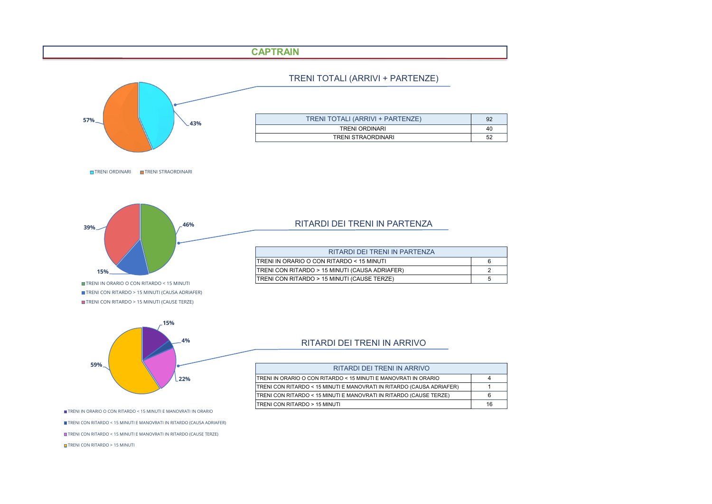# **CAPTRAIN**



TRENI TOTALI (ARRIVI + PARTENZE)

| TRENI TOTALI (ARRIVI + PARTENZE) | 92 |
|----------------------------------|----|
| <b>TRENI ORDINARI</b>            | 40 |
| TRENI STRAORDINARI               | 52 |

TRENI ORDINARI TRENI STRAORDINARI



TRENI IN ORARIO O CON RITARDO < 15 MINUTI TRENI CON RITARDO > 15 MINUTI (CAUSA ADRIAFER) **TRENI CON RITARDO > 15 MINUTI (CAUSE TERZE)** 

#### RITARDI DEI TRENI IN PARTENZA

| RITARDI DEI TRENI IN PARTENZA                  |   |
|------------------------------------------------|---|
| ITRENI IN ORARIO O CON RITARDO < 15 MINUTI     | 6 |
| TRENI CON RITARDO > 15 MINUTI (CAUSA ADRIAFER) |   |
| TRENI CON RITARDO > 15 MINUTI (CAUSE TERZE)    | b |



## RITARDI DEI TRENI IN ARRIVO

| RITARDI DEI TRENI IN ARRIVO                                           |    |  |
|-----------------------------------------------------------------------|----|--|
| TRENI IN ORARIO O CON RITARDO < 15 MINUTI E MANOVRATI IN ORARIO       |    |  |
| TRENI CON RITARDO < 15 MINUTI E MANOVRATI IN RITARDO (CAUSA ADRIAFER) |    |  |
| TRENI CON RITARDO < 15 MINUTI E MANOVRATI IN RITARDO (CAUSE TERZE)    |    |  |
| <b>ITRENI CON RITARDO &gt; 15 MINUTI</b>                              | 16 |  |

TRENI IN ORARIO O CON RITARDO < 15 MINUTI E MANOVRATI IN ORARIO

TRENI CON RITARDO < 15 MINUTI E MANOVRATI IN RITARDO (CAUSA ADRIAFER)

TRENI CON RITARDO < 15 MINUTI E MANOVRATI IN RITARDO (CAUSE TERZE)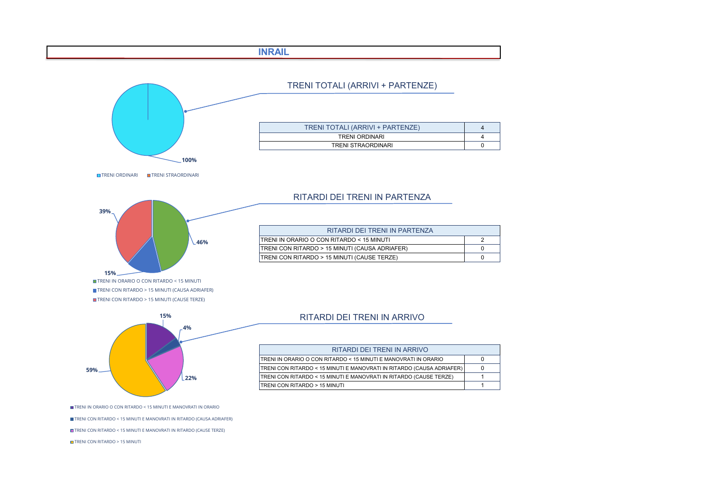## **INRAIL**



TRENI TOTALI (ARRIVI + PARTENZE)

| TRENI TOTALI (ARRIVI + PARTENZE) |  |
|----------------------------------|--|
| <b>TRENI ORDINARI</b>            |  |
| TRENI STRAORDINARI               |  |

TRENI ORDINARI TRENI STRAORDINARI



TRENI CON RITARDO > 15 MINUTI (CAUSA ADRIAFER) **TRENI CON RITARDO > 15 MINUTI (CAUSE TERZE)** 



## RITARDI DEI TRENI IN PARTENZA

| RITARDI DEI TRENI IN PARTENZA                   |  |
|-------------------------------------------------|--|
| ITRENI IN ORARIO O CON RITARDO < 15 MINUTI      |  |
| [TRENI CON RITARDO > 15 MINUTI (CAUSA ADRIAFER) |  |
| TRENI CON RITARDO > 15 MINUTI (CAUSE TERZE)     |  |

#### RITARDI DEI TRENI IN ARRIVO

| RITARDI DEI TRENI IN ARRIVO                                           |  |
|-----------------------------------------------------------------------|--|
| TRENI IN ORARIO O CON RITARDO < 15 MINUTI E MANOVRATI IN ORARIO       |  |
| TRENI CON RITARDO < 15 MINUTI E MANOVRATI IN RITARDO (CAUSA ADRIAFER) |  |
| TRENI CON RITARDO < 15 MINUTI E MANOVRATI IN RITARDO (CAUSE TERZE)    |  |
| TRENI CON RITARDO > 15 MINUTI                                         |  |

TRENI IN ORARIO O CON RITARDO < 15 MINUTI E MANOVRATI IN ORARIO

TRENI CON RITARDO < 15 MINUTI E MANOVRATI IN RITARDO (CAUSA ADRIAFER)

TRENI CON RITARDO < 15 MINUTI E MANOVRATI IN RITARDO (CAUSE TERZE)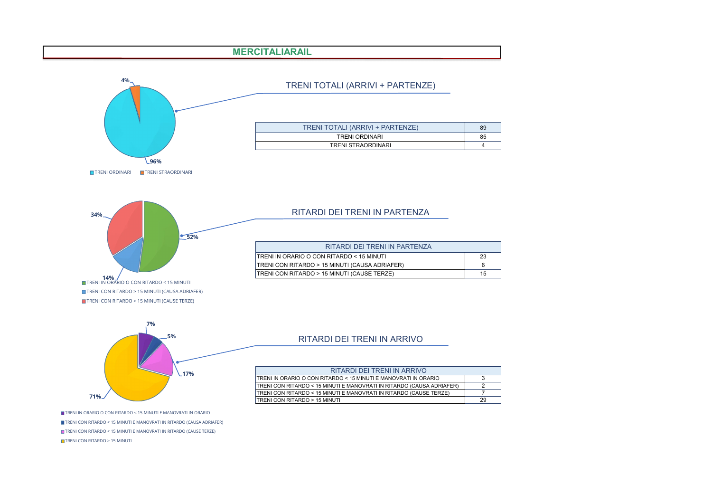# **MERCITALIARAIL**



# TRENI TOTALI (ARRIVI + PARTENZE)

| TRENI TOTALI (ARRIVI + PARTENZE) | 89 |
|----------------------------------|----|
| <b>TRENI ORDINARI</b>            | 85 |
| TRENI STRAORDINARI               | Δ  |



#### RITARDI DEI TRENI IN PARTENZA

| RITARDI DEI TRENI IN PARTENZA                         |    |
|-------------------------------------------------------|----|
| <b>ITRENI IN ORARIO O CON RITARDO &lt; 15 MINUTI</b>  | 23 |
| TRENI CON RITARDO > 15 MINUTI (CAUSA ADRIAFER)        |    |
| <b>TRENI CON RITARDO &gt; 15 MINUTI (CAUSE TERZE)</b> | 15 |



### RITARDI DEI TRENI IN ARRIVO

| RITARDI DEI TRENI IN ARRIVO                                           |    |
|-----------------------------------------------------------------------|----|
| ITRENI IN ORARIO O CON RITARDO < 15 MINUTI E MANOVRATI IN ORARIO      |    |
| TRENI CON RITARDO < 15 MINUTI E MANOVRATI IN RITARDO (CAUSA ADRIAFER) |    |
| TRENI CON RITARDO < 15 MINUTI E MANOVRATI IN RITARDO (CAUSE TERZE)    |    |
| ITRENI CON RITARDO > 15 MINUTI                                        | 29 |

TRENI IN ORARIO O CON RITARDO < 15 MINUTI E MANOVRATI IN ORARIO TRENI CON RITARDO < 15 MINUTI E MANOVRATI IN RITARDO (CAUSA ADRIAFER)

TRENI CON RITARDO < 15 MINUTI E MANOVRATI IN RITARDO (CAUSE TERZE)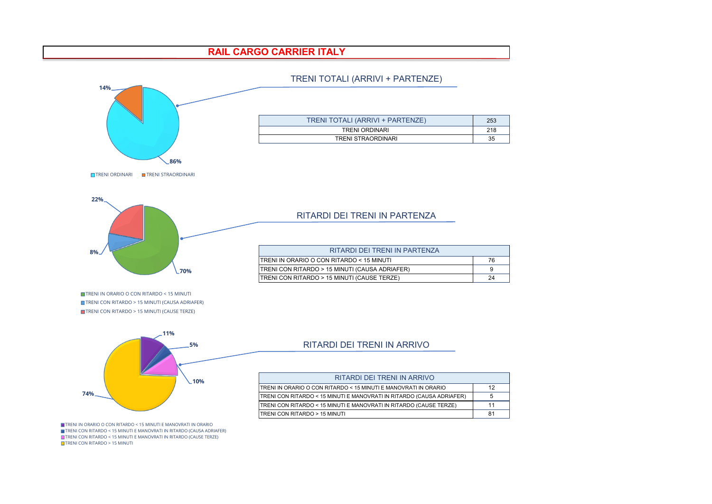## **RAIL CARGO CARRIER ITALY**



#### TRENI TOTALI (ARRIVI + PARTENZE)

**11% 5% 10% 74%**

#### RITARDI DEI TRENI IN ARRIVO

| RITARDI DEI TRENI IN ARRIVO                                           |    |  |
|-----------------------------------------------------------------------|----|--|
| TRENI IN ORARIO O CON RITARDO < 15 MINUTI E MANOVRATI IN ORARIO       | 12 |  |
| TRENI CON RITARDO < 15 MINUTI E MANOVRATI IN RITARDO (CAUSA ADRIAFER) |    |  |
| TRENI CON RITARDO < 15 MINUTI E MANOVRATI IN RITARDO (CAUSE TERZE)    | 11 |  |
| <b>ITRENI CON RITARDO &gt; 15 MINUTI</b>                              | 81 |  |

TRENI IN ORARIO O CON RITARDO < 15 MINUTI E MANOVRATI IN ORARIO TRENI CON RITARDO < 15 MINUTI E MANOVRATI IN RITARDO (CAUSA ADRIAFER) TRENI CON RITARDO < 15 MINUTI E MANOVRATI IN RITARDO (CAUSE TERZE) **T** TRENI CON RITARDO > 15 MINUTI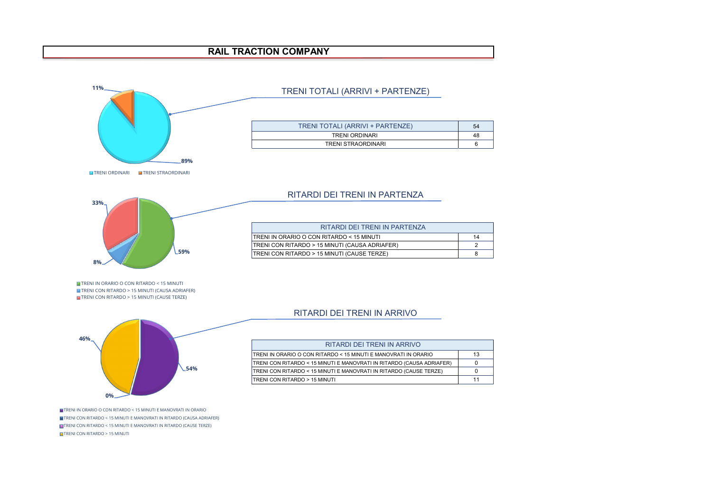## **RAIL TRACTION COMPANY**



## TRENI TOTALI (ARRIVI + PARTENZE)

| TRENI TOTALI (ARRIVI + PARTENZE) | 54 |
|----------------------------------|----|
| <b>TRENI ORDINARI</b>            | 48 |
| <b>TRENI STRAORDINARI</b>        |    |

**59% 8% 33%**

TRENI IN ORARIO O CON RITARDO < 15 MINUTI TRENI CON RITARDO > 15 MINUTI (CAUSA ADRIAFER) **TRENI CON RITARDO > 15 MINUTI (CAUSE TERZE)** 



TRENI IN ORARIO O CON RITARDO < 15 MINUTI E MANOVRATI IN ORARIO TRENI CON RITARDO < 15 MINUTI E MANOVRATI IN RITARDO (CAUSA ADRIAFER) TRENI CON RITARDO < 15 MINUTI E MANOVRATI IN RITARDO (CAUSE TERZE) TRENI CON RITARDO > 15 MINUTI

## RITARDI DEI TRENI IN PARTENZA

| RITARDI DEI TRENI IN PARTENZA                         |    |
|-------------------------------------------------------|----|
| ITRENI IN ORARIO O CON RITARDO < 15 MINUTI            | 14 |
| TRENI CON RITARDO > 15 MINUTI (CAUSA ADRIAFER)        |    |
| <b>TRENI CON RITARDO &gt; 15 MINUTI (CAUSE TERZE)</b> |    |

#### RITARDI DEI TRENI IN ARRIVO

| RITARDI DEI TRENI IN ARRIVO                                           |    |
|-----------------------------------------------------------------------|----|
| TRENI IN ORARIO O CON RITARDO < 15 MINUTI E MANOVRATI IN ORARIO       | 13 |
| TRENI CON RITARDO < 15 MINUTI E MANOVRATI IN RITARDO (CAUSA ADRIAFER) |    |
| TRENI CON RITARDO < 15 MINUTI E MANOVRATI IN RITARDO (CAUSE TERZE)    |    |
| TRENI CON RITARDO > 15 MINUTI                                         | 11 |